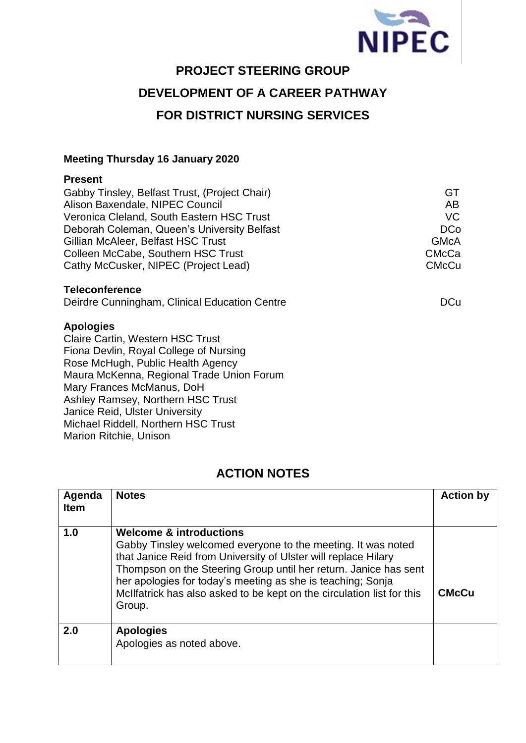

# **PROJECT STEERING GROUP**

## **DEVELOPMENT OF A CAREER PATHWAY**

# **FOR DISTRICT NURSING SERVICES**

#### **Meeting Thursday 16 January 2020**

#### **Present**

| Gabby Tinsley, Belfast Trust, (Project Chair) | GT           |
|-----------------------------------------------|--------------|
| Alison Baxendale, NIPEC Council               | AB           |
| Veronica Cleland, South Eastern HSC Trust     | VC.          |
| Deborah Coleman, Queen's University Belfast   | <b>DCo</b>   |
| Gillian McAleer, Belfast HSC Trust            | <b>GMcA</b>  |
| Colleen McCabe, Southern HSC Trust            | <b>CMcCa</b> |
| Cathy McCusker, NIPEC (Project Lead)          | <b>CMcCu</b> |
|                                               |              |

#### **Teleconference**

Deirdre Cunningham, Clinical Education Centre **DEM DEM** DCu

#### **Apologies**

Claire Cartin, Western HSC Trust Fiona Devlin, Royal College of Nursing Rose McHugh, Public Health Agency Maura McKenna, Regional Trade Union Forum Mary Frances McManus, DoH Ashley Ramsey, Northern HSC Trust Janice Reid, Ulster University Michael Riddell, Northern HSC Trust Marion Ritchie, Unison

### **ACTION NOTES**

| Agenda<br><b>Item</b> | <b>Notes</b>                                                                                                                                                                                                                                                                                                                                                                                | <b>Action by</b> |
|-----------------------|---------------------------------------------------------------------------------------------------------------------------------------------------------------------------------------------------------------------------------------------------------------------------------------------------------------------------------------------------------------------------------------------|------------------|
| 1.0                   | <b>Welcome &amp; introductions</b><br>Gabby Tinsley welcomed everyone to the meeting. It was noted<br>that Janice Reid from University of Ulster will replace Hilary<br>Thompson on the Steering Group until her return. Janice has sent<br>her apologies for today's meeting as she is teaching; Sonja<br>McIlfatrick has also asked to be kept on the circulation list for this<br>Group. | <b>CMcCu</b>     |
| 2.0                   | <b>Apologies</b><br>Apologies as noted above.                                                                                                                                                                                                                                                                                                                                               |                  |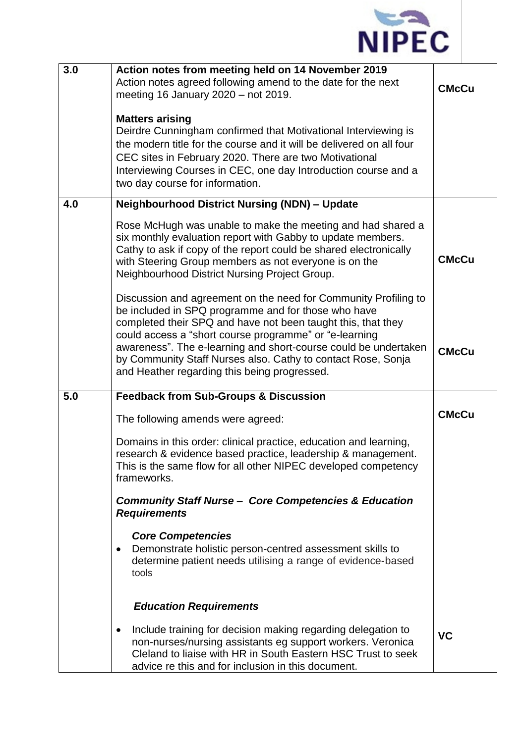

| 3.0 | Action notes from meeting held on 14 November 2019<br>Action notes agreed following amend to the date for the next<br>meeting 16 January $2020 - not 2019$ .<br><b>Matters arising</b><br>Deirdre Cunningham confirmed that Motivational Interviewing is<br>the modern title for the course and it will be delivered on all four<br>CEC sites in February 2020. There are two Motivational<br>Interviewing Courses in CEC, one day Introduction course and a<br>two day course for information. | <b>CMcCu</b> |
|-----|-------------------------------------------------------------------------------------------------------------------------------------------------------------------------------------------------------------------------------------------------------------------------------------------------------------------------------------------------------------------------------------------------------------------------------------------------------------------------------------------------|--------------|
| 4.0 | <b>Neighbourhood District Nursing (NDN) - Update</b>                                                                                                                                                                                                                                                                                                                                                                                                                                            |              |
|     | Rose McHugh was unable to make the meeting and had shared a<br>six monthly evaluation report with Gabby to update members.<br>Cathy to ask if copy of the report could be shared electronically<br>with Steering Group members as not everyone is on the<br>Neighbourhood District Nursing Project Group.                                                                                                                                                                                       | <b>CMcCu</b> |
|     | Discussion and agreement on the need for Community Profiling to<br>be included in SPQ programme and for those who have<br>completed their SPQ and have not been taught this, that they<br>could access a "short course programme" or "e-learning<br>awareness". The e-learning and short-course could be undertaken<br>by Community Staff Nurses also. Cathy to contact Rose, Sonja<br>and Heather regarding this being progressed.                                                             | <b>CMcCu</b> |
| 5.0 | <b>Feedback from Sub-Groups &amp; Discussion</b>                                                                                                                                                                                                                                                                                                                                                                                                                                                |              |
|     | The following amends were agreed:                                                                                                                                                                                                                                                                                                                                                                                                                                                               | <b>CMcCu</b> |
|     | Domains in this order: clinical practice, education and learning,<br>research & evidence based practice, leadership & management.<br>This is the same flow for all other NIPEC developed competency<br>frameworks.                                                                                                                                                                                                                                                                              |              |
|     | <b>Community Staff Nurse - Core Competencies &amp; Education</b><br><b>Requirements</b>                                                                                                                                                                                                                                                                                                                                                                                                         |              |
|     | <b>Core Competencies</b><br>Demonstrate holistic person-centred assessment skills to<br>$\bullet$<br>determine patient needs utilising a range of evidence-based<br>tools                                                                                                                                                                                                                                                                                                                       |              |
|     | <b>Education Requirements</b>                                                                                                                                                                                                                                                                                                                                                                                                                                                                   |              |
|     | Include training for decision making regarding delegation to<br>٠<br>non-nurses/nursing assistants eg support workers. Veronica<br>Cleland to liaise with HR in South Eastern HSC Trust to seek<br>advice re this and for inclusion in this document.                                                                                                                                                                                                                                           | <b>VC</b>    |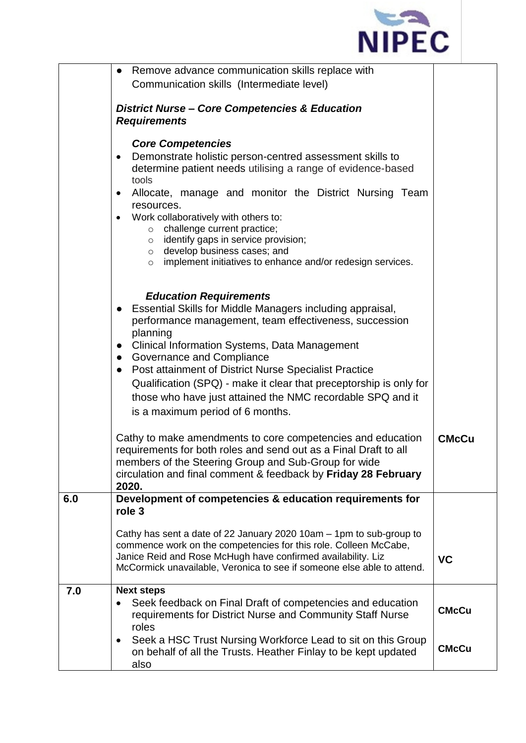

|     | Remove advance communication skills replace with<br>$\bullet$                                                                               |              |  |
|-----|---------------------------------------------------------------------------------------------------------------------------------------------|--------------|--|
|     | Communication skills (Intermediate level)                                                                                                   |              |  |
|     |                                                                                                                                             |              |  |
|     | <b>District Nurse - Core Competencies &amp; Education</b>                                                                                   |              |  |
|     | <b>Requirements</b>                                                                                                                         |              |  |
|     | <b>Core Competencies</b>                                                                                                                    |              |  |
|     | Demonstrate holistic person-centred assessment skills to<br>$\bullet$                                                                       |              |  |
|     | determine patient needs utilising a range of evidence-based<br>tools                                                                        |              |  |
|     | Allocate, manage and monitor the District Nursing Team<br>$\bullet$                                                                         |              |  |
|     | resources.                                                                                                                                  |              |  |
|     | Work collaboratively with others to:<br>$\bullet$<br>o challenge current practice;                                                          |              |  |
|     | $\circ$ identify gaps in service provision;                                                                                                 |              |  |
|     | $\circ$ develop business cases; and                                                                                                         |              |  |
|     | implement initiatives to enhance and/or redesign services.<br>$\circ$                                                                       |              |  |
|     |                                                                                                                                             |              |  |
|     | <b>Education Requirements</b>                                                                                                               |              |  |
|     | Essential Skills for Middle Managers including appraisal,<br>$\bullet$                                                                      |              |  |
|     | performance management, team effectiveness, succession                                                                                      |              |  |
|     | planning                                                                                                                                    |              |  |
|     | <b>Clinical Information Systems, Data Management</b><br>$\bullet$                                                                           |              |  |
|     | <b>Governance and Compliance</b><br>$\bullet$<br><b>Post attainment of District Nurse Specialist Practice</b>                               |              |  |
|     | $\bullet$                                                                                                                                   |              |  |
|     | Qualification (SPQ) - make it clear that preceptorship is only for                                                                          |              |  |
|     | those who have just attained the NMC recordable SPQ and it<br>is a maximum period of 6 months.                                              |              |  |
|     |                                                                                                                                             |              |  |
|     | Cathy to make amendments to core competencies and education                                                                                 | <b>CMcCu</b> |  |
|     | requirements for both roles and send out as a Final Draft to all                                                                            |              |  |
|     | members of the Steering Group and Sub-Group for wide                                                                                        |              |  |
|     | circulation and final comment & feedback by Friday 28 February                                                                              |              |  |
|     | 2020.                                                                                                                                       |              |  |
| 6.0 | Development of competencies & education requirements for<br>role 3                                                                          |              |  |
|     | Cathy has sent a date of 22 January 2020 10am - 1pm to sub-group to                                                                         |              |  |
|     | commence work on the competencies for this role. Colleen McCabe,                                                                            |              |  |
|     | Janice Reid and Rose McHugh have confirmed availability. Liz                                                                                | <b>VC</b>    |  |
|     | McCormick unavailable, Veronica to see if someone else able to attend.                                                                      |              |  |
| 7.0 | <b>Next steps</b>                                                                                                                           |              |  |
|     | Seek feedback on Final Draft of competencies and education                                                                                  | <b>CMcCu</b> |  |
|     | requirements for District Nurse and Community Staff Nurse                                                                                   |              |  |
|     | roles                                                                                                                                       |              |  |
|     | Seek a HSC Trust Nursing Workforce Lead to sit on this Group<br>$\bullet$<br>on behalf of all the Trusts. Heather Finlay to be kept updated | <b>CMcCu</b> |  |
|     | also                                                                                                                                        |              |  |
|     |                                                                                                                                             |              |  |